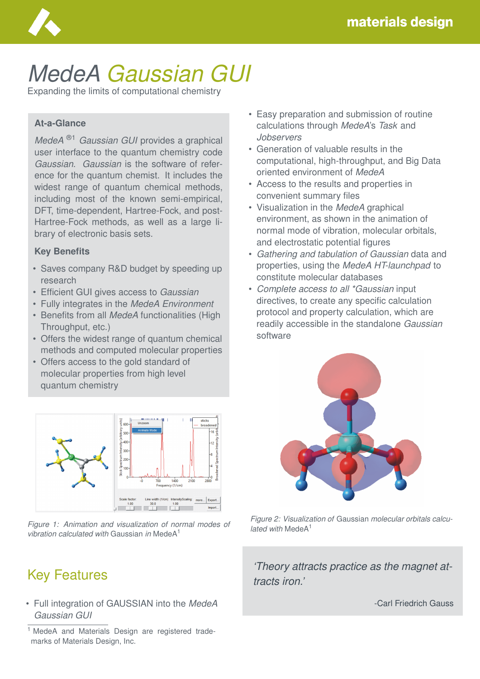

# *MedeA Gaussian GUI*

Expanding the limits of computational chemistry

#### **At-a-Glance**

*MedeA* ®1 *Gaussian GUI* provides a graphical user interface to the quantum chemistry code *Gaussian*. *Gaussian* is the software of reference for the quantum chemist. It includes the widest range of quantum chemical methods, including most of the known semi-empirical, DFT, time-dependent, Hartree-Fock, and post-Hartree-Fock methods, as well as a large library of electronic basis sets.

#### **Key Benefits**

- Saves company R&D budget by speeding up research
- Efficient GUI gives access to *Gaussian*
- Fully integrates in the *MedeA Environment*
- Benefits from all *MedeA* functionalities (High Throughput, etc.)
- Offers the widest range of quantum chemical methods and computed molecular properties
- Offers access to the gold standard of molecular properties from high level quantum chemistry



*Figure 1: Animation and visualization of normal modes of vibration calculated with* Gaussian *in* MedeA<sup>1</sup>

# Key Features

• Full integration of GAUSSIAN into the *MedeA Gaussian GUI*

- Easy preparation and submission of routine calculations through *MedeA*'s *Task* and *Jobservers*
- Generation of valuable results in the computational, high-throughput, and Big Data oriented environment of *MedeA*
- Access to the results and properties in convenient summary files
- Visualization in the *MedeA* graphical environment, as shown in the animation of normal mode of vibration, molecular orbitals, and electrostatic potential figures
- *Gathering and tabulation of Gaussian* data and properties, using the *MedeA HT-launchpad* to constitute molecular databases
- *Complete access to all \*Gaussian* input directives, to create any specific calculation protocol and property calculation, which are readily accessible in the standalone *Gaussian* software



*Figure 2: Visualization of* Gaussian *molecular orbitals calculated with* MedeA<sup>1</sup>

*'Theory attracts practice as the magnet attracts iron.'*

-Carl Friedrich Gauss

<sup>&</sup>lt;sup>1</sup> MedeA and Materials Design are registered trademarks of Materials Design, Inc.